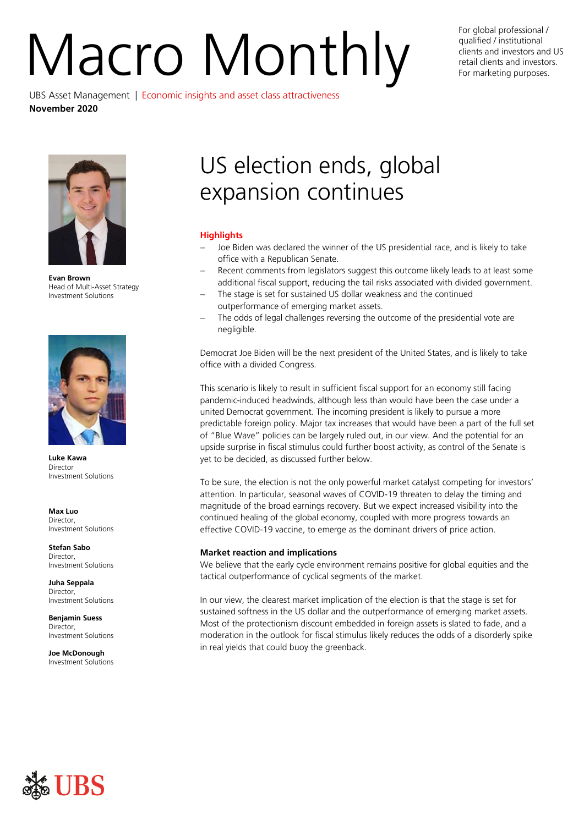# For global professional /<br>qualified / institutional<br>retail clients and investors and<br>For marketing purposes.

UBS Asset Management | Economic insights and asset class attractiveness **November 2020**

qualified / institutional clients and investors and US retail clients and investors. For marketing purposes.



**Evan Brown** Head of Multi-Asset Strategy Investment Solutions



**Luke Kawa** Director Investment Solutions

**Max Luo** Director, Investment Solutions

**Stefan Sabo Director** Investment Solutions

**Juha Seppala** Director, Investment Solutions

**Benjamin Suess** Director, Investment Solutions

**Joe McDonough** Investment Solutions

# US election ends, global expansion continues

# **Highlights**

- Joe Biden was declared the winner of the US presidential race, and is likely to take office with a Republican Senate.
- Recent comments from legislators suggest this outcome likely leads to at least some additional fiscal support, reducing the tail risks associated with divided government.
- The stage is set for sustained US dollar weakness and the continued outperformance of emerging market assets.
- The odds of legal challenges reversing the outcome of the presidential vote are negligible.

Democrat Joe Biden will be the next president of the United States, and is likely to take office with a divided Congress.

This scenario is likely to result in sufficient fiscal support for an economy still facing pandemic-induced headwinds, although less than would have been the case under a united Democrat government. The incoming president is likely to pursue a more predictable foreign policy. Major tax increases that would have been a part of the full set of "Blue Wave" policies can be largely ruled out, in our view. And the potential for an upside surprise in fiscal stimulus could further boost activity, as control of the Senate is yet to be decided, as discussed further below.

To be sure, the election is not the only powerful market catalyst competing for investors' attention. In particular, seasonal waves of COVID-19 threaten to delay the timing and magnitude of the broad earnings recovery. But we expect increased visibility into the continued healing of the global economy, coupled with more progress towards an effective COVID-19 vaccine, to emerge as the dominant drivers of price action.

# **Market reaction and implications**

We believe that the early cycle environment remains positive for global equities and the tactical outperformance of cyclical segments of the market.

In our view, the clearest market implication of the election is that the stage is set for sustained softness in the US dollar and the outperformance of emerging market assets. Most of the protectionism discount embedded in foreign assets is slated to fade, and a moderation in the outlook for fiscal stimulus likely reduces the odds of a disorderly spike in real yields that could buoy the greenback.

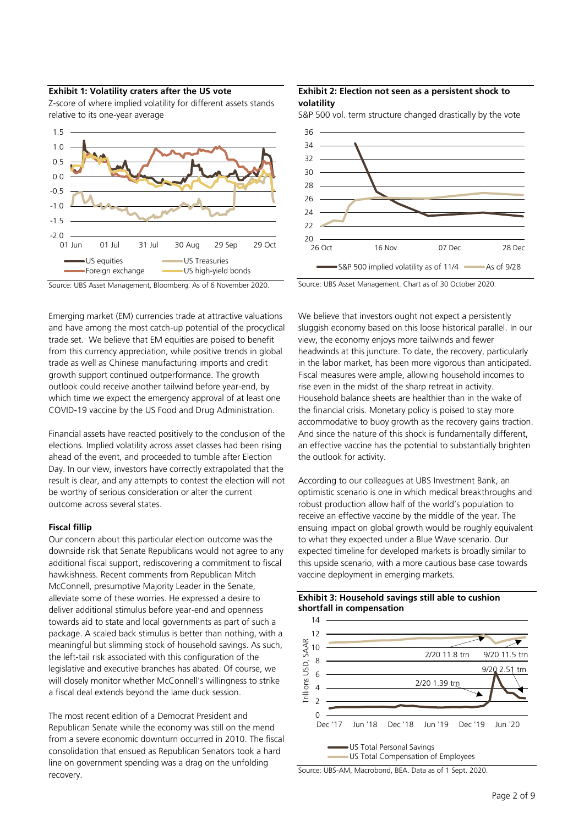## **Exhibit 1: Volatility craters after the US vote**

Z-score of where implied volatility for different assets stands relative to its one-year average



#### Source: UBS Asset Management, Bloomberg. As of 6 November 2020.

Emerging market (EM) currencies trade at attractive valuations and have among the most catch-up potential of the procyclical trade set. We believe that EM equities are poised to benefit from this currency appreciation, while positive trends in global trade as well as Chinese manufacturing imports and credit growth support continued outperformance. The growth outlook could receive another tailwind before year-end, by which time we expect the emergency approval of at least one COVID-19 vaccine by the US Food and Drug Administration.

Financial assets have reacted positively to the conclusion of the elections. Implied volatility across asset classes had been rising ahead of the event, and proceeded to tumble after Election Day. In our view, investors have correctly extrapolated that the result is clear, and any attempts to contest the election will not be worthy of serious consideration or alter the current outcome across several states.

#### **Fiscal fillip**

Our concern about this particular election outcome was the downside risk that Senate Republicans would not agree to any additional fiscal support, rediscovering a commitment to fiscal hawkishness. Recent comments from Republican Mitch McConnell, presumptive Majority Leader in the Senate, alleviate some of these worries. He expressed a desire to deliver additional stimulus before year-end and openness towards aid to state and local governments as part of such a package. A scaled back stimulus is better than nothing, with a meaningful but slimming stock of household savings. As such, the left-tail risk associated with this configuration of the legislative and executive branches has abated. Of course, we will closely monitor whether McConnell's willingness to strike a fiscal deal extends beyond the lame duck session.

The most recent edition of a Democrat President and Republican Senate while the economy was still on the mend from a severe economic downturn occurred in 2010. The fiscal consolidation that ensued as Republican Senators took a hard line on government spending was a drag on the unfolding recovery.

# **Exhibit 2: Election not seen as a persistent shock to volatility**

S&P 500 vol. term structure changed drastically by the vote



Source: UBS Asset Management. Chart as of 30 October 2020.

We believe that investors ought not expect a persistently sluggish economy based on this loose historical parallel. In our view, the economy enjoys more tailwinds and fewer headwinds at this juncture. To date, the recovery, particularly in the labor market, has been more vigorous than anticipated. Fiscal measures were ample, allowing household incomes to rise even in the midst of the sharp retreat in activity. Household balance sheets are healthier than in the wake of the financial crisis. Monetary policy is poised to stay more accommodative to buoy growth as the recovery gains traction. And since the nature of this shock is fundamentally different, an effective vaccine has the potential to substantially brighten the outlook for activity.

According to our colleagues at UBS Investment Bank, an optimistic scenario is one in which medical breakthroughs and robust production allow half of the world's population to receive an effective vaccine by the middle of the year. The ensuing impact on global growth would be roughly equivalent to what they expected under a Blue Wave scenario. Our expected timeline for developed markets is broadly similar to this upside scenario, with a more cautious base case towards vaccine deployment in emerging markets.





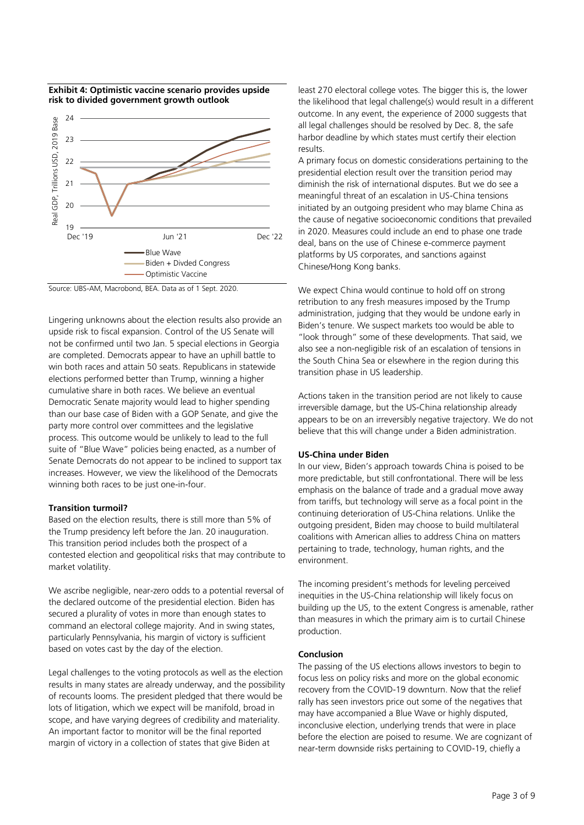

## **Exhibit 4: Optimistic vaccine scenario provides upside risk to divided government growth outlook**

Source: UBS-AM, Macrobond, BEA. Data as of 1 Sept. 2020.

Lingering unknowns about the election results also provide an upside risk to fiscal expansion. Control of the US Senate will not be confirmed until two Jan. 5 special elections in Georgia are completed. Democrats appear to have an uphill battle to win both races and attain 50 seats. Republicans in statewide elections performed better than Trump, winning a higher cumulative share in both races. We believe an eventual Democratic Senate majority would lead to higher spending than our base case of Biden with a GOP Senate, and give the party more control over committees and the legislative process. This outcome would be unlikely to lead to the full suite of "Blue Wave" policies being enacted, as a number of Senate Democrats do not appear to be inclined to support tax increases. However, we view the likelihood of the Democrats winning both races to be just one-in-four.

# **Transition turmoil?**

Based on the election results, there is still more than 5% of the Trump presidency left before the Jan. 20 inauguration. This transition period includes both the prospect of a contested election and geopolitical risks that may contribute to market volatility.

We ascribe negligible, near-zero odds to a potential reversal of the declared outcome of the presidential election. Biden has secured a plurality of votes in more than enough states to command an electoral college majority. And in swing states, particularly Pennsylvania, his margin of victory is sufficient based on votes cast by the day of the election.

Legal challenges to the voting protocols as well as the election results in many states are already underway, and the possibility of recounts looms. The president pledged that there would be lots of litigation, which we expect will be manifold, broad in scope, and have varying degrees of credibility and materiality. An important factor to monitor will be the final reported margin of victory in a collection of states that give Biden at

least 270 electoral college votes. The bigger this is, the lower the likelihood that legal challenge(s) would result in a different outcome. In any event, the experience of 2000 suggests that all legal challenges should be resolved by Dec. 8, the safe harbor deadline by which states must certify their election results.

A primary focus on domestic considerations pertaining to the presidential election result over the transition period may diminish the risk of international disputes. But we do see a meaningful threat of an escalation in US-China tensions initiated by an outgoing president who may blame China as the cause of negative socioeconomic conditions that prevailed in 2020. Measures could include an end to phase one trade deal, bans on the use of Chinese e-commerce payment platforms by US corporates, and sanctions against Chinese/Hong Kong banks.

We expect China would continue to hold off on strong retribution to any fresh measures imposed by the Trump administration, judging that they would be undone early in Biden's tenure. We suspect markets too would be able to "look through" some of these developments. That said, we also see a non-negligible risk of an escalation of tensions in the South China Sea or elsewhere in the region during this transition phase in US leadership.

Actions taken in the transition period are not likely to cause irreversible damage, but the US-China relationship already appears to be on an irreversibly negative trajectory. We do not believe that this will change under a Biden administration.

# **US-China under Biden**

In our view, Biden's approach towards China is poised to be more predictable, but still confrontational. There will be less emphasis on the balance of trade and a gradual move away from tariffs, but technology will serve as a focal point in the continuing deterioration of US-China relations. Unlike the outgoing president, Biden may choose to build multilateral coalitions with American allies to address China on matters pertaining to trade, technology, human rights, and the environment.

The incoming president's methods for leveling perceived inequities in the US-China relationship will likely focus on building up the US, to the extent Congress is amenable, rather than measures in which the primary aim is to curtail Chinese production.

# **Conclusion**

The passing of the US elections allows investors to begin to focus less on policy risks and more on the global economic recovery from the COVID-19 downturn. Now that the relief rally has seen investors price out some of the negatives that may have accompanied a Blue Wave or highly disputed, inconclusive election, underlying trends that were in place before the election are poised to resume. We are cognizant of near-term downside risks pertaining to COVID-19, chiefly a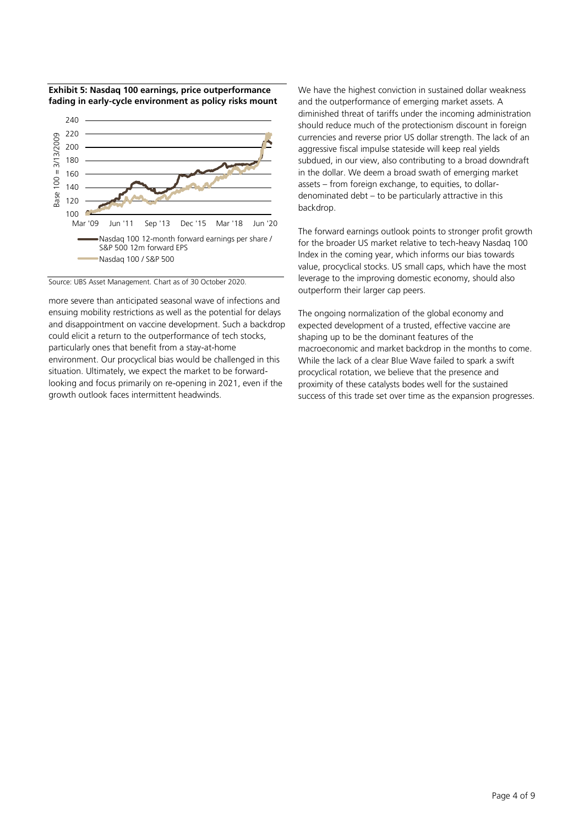

Jun '11 Sep '13 Dec '15 Mar '18 Jun '20

Nasdaq 100 12-month forward earnings per share /

**Exhibit 5: Nasdaq 100 earnings, price outperformance** 

Source: UBS Asset Management. Chart as of 30 October 2020.

S&P 500 12m forward EPS Nasdaq 100 / S&P 500

100

r

120 140 160

more severe than anticipated seasonal wave of infections and ensuing mobility restrictions as well as the potential for delays and disappointment on vaccine development. Such a backdrop could elicit a return to the outperformance of tech stocks, particularly ones that benefit from a stay-at-home environment. Our procyclical bias would be challenged in this situation. Ultimately, we expect the market to be forwardlooking and focus primarily on re-opening in 2021, even if the growth outlook faces intermittent headwinds.

We have the highest conviction in sustained dollar weakness and the outperformance of emerging market assets. A diminished threat of tariffs under the incoming administration should reduce much of the protectionism discount in foreign currencies and reverse prior US dollar strength. The lack of an aggressive fiscal impulse stateside will keep real yields subdued, in our view, also contributing to a broad downdraft in the dollar. We deem a broad swath of emerging market assets – from foreign exchange, to equities, to dollardenominated debt – to be particularly attractive in this backdrop.

The forward earnings outlook points to stronger profit growth for the broader US market relative to tech-heavy Nasdaq 100 Index in the coming year, which informs our bias towards value, procyclical stocks. US small caps, which have the most leverage to the improving domestic economy, should also outperform their larger cap peers.

The ongoing normalization of the global economy and expected development of a trusted, effective vaccine are shaping up to be the dominant features of the macroeconomic and market backdrop in the months to come. While the lack of a clear Blue Wave failed to spark a swift procyclical rotation, we believe that the presence and proximity of these catalysts bodes well for the sustained success of this trade set over time as the expansion progresses.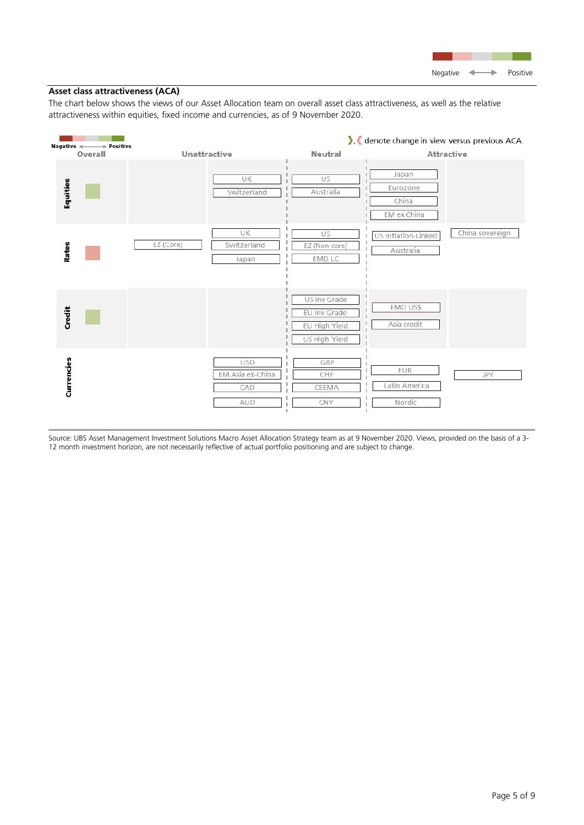# **Asset class attractiveness (ACA)**

The chart below shows the views of our Asset Allocation team on overall asset class attractiveness, as well as the relative attractiveness within equities, fixed income and currencies, as of 9 November 2020.



Source: UBS Asset Management Investment Solutions Macro Asset Allocation Strategy team as at 9 November 2020. Views, provided on the basis of a 3- 12 month investment horizon, are not necessarily reflective of actual portfolio positioning and are subject to change.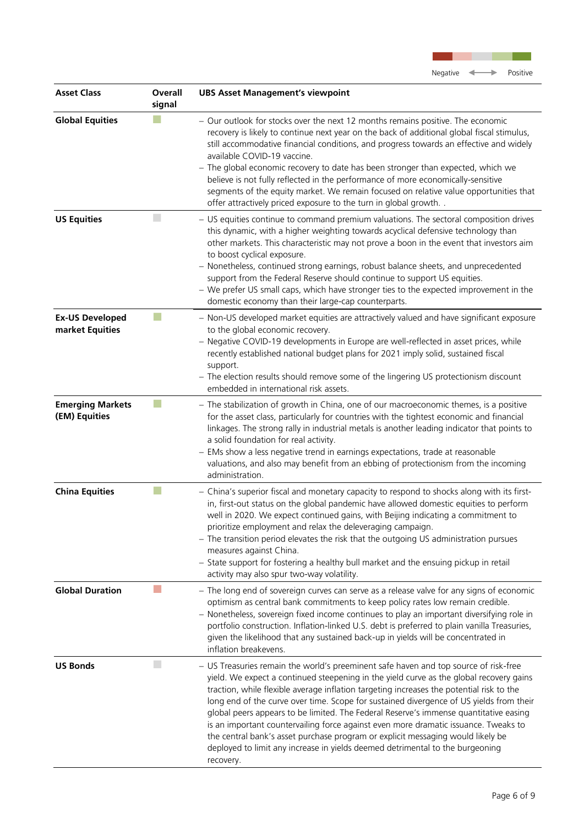

| <b>Asset Class</b>                        | Overall<br>signal | <b>UBS Asset Management's viewpoint</b>                                                                                                                                                                                                                                                                                                                                                                                                                                                                                                                                                                                                                                                                                                 |
|-------------------------------------------|-------------------|-----------------------------------------------------------------------------------------------------------------------------------------------------------------------------------------------------------------------------------------------------------------------------------------------------------------------------------------------------------------------------------------------------------------------------------------------------------------------------------------------------------------------------------------------------------------------------------------------------------------------------------------------------------------------------------------------------------------------------------------|
| <b>Global Equities</b>                    |                   | - Our outlook for stocks over the next 12 months remains positive. The economic<br>recovery is likely to continue next year on the back of additional global fiscal stimulus,<br>still accommodative financial conditions, and progress towards an effective and widely<br>available COVID-19 vaccine.<br>- The global economic recovery to date has been stronger than expected, which we<br>believe is not fully reflected in the performance of more economically-sensitive<br>segments of the equity market. We remain focused on relative value opportunities that<br>offer attractively priced exposure to the turn in global growth                                                                                              |
| <b>US Equities</b>                        |                   | - US equities continue to command premium valuations. The sectoral composition drives<br>this dynamic, with a higher weighting towards acyclical defensive technology than<br>other markets. This characteristic may not prove a boon in the event that investors aim<br>to boost cyclical exposure.<br>- Nonetheless, continued strong earnings, robust balance sheets, and unprecedented<br>support from the Federal Reserve should continue to support US equities.<br>- We prefer US small caps, which have stronger ties to the expected improvement in the<br>domestic economy than their large-cap counterparts.                                                                                                                 |
| <b>Ex-US Developed</b><br>market Equities |                   | - Non-US developed market equities are attractively valued and have significant exposure<br>to the global economic recovery.<br>- Negative COVID-19 developments in Europe are well-reflected in asset prices, while<br>recently established national budget plans for 2021 imply solid, sustained fiscal<br>support.<br>- The election results should remove some of the lingering US protectionism discount<br>embedded in international risk assets.                                                                                                                                                                                                                                                                                 |
| <b>Emerging Markets</b><br>(EM) Equities  |                   | - The stabilization of growth in China, one of our macroeconomic themes, is a positive<br>for the asset class, particularly for countries with the tightest economic and financial<br>linkages. The strong rally in industrial metals is another leading indicator that points to<br>a solid foundation for real activity.<br>- EMs show a less negative trend in earnings expectations, trade at reasonable<br>valuations, and also may benefit from an ebbing of protectionism from the incoming<br>administration.                                                                                                                                                                                                                   |
| <b>China Equities</b>                     |                   | - China's superior fiscal and monetary capacity to respond to shocks along with its first-<br>in, first-out status on the global pandemic have allowed domestic equities to perform<br>well in 2020. We expect continued gains, with Beijing indicating a commitment to<br>prioritize employment and relax the deleveraging campaign.<br>- The transition period elevates the risk that the outgoing US administration pursues<br>measures against China.<br>- State support for fostering a healthy bull market and the ensuing pickup in retail<br>activity may also spur two-way volatility.                                                                                                                                         |
| <b>Global Duration</b>                    |                   | - The long end of sovereign curves can serve as a release valve for any signs of economic<br>optimism as central bank commitments to keep policy rates low remain credible.<br>- Nonetheless, sovereign fixed income continues to play an important diversifying role in<br>portfolio construction. Inflation-linked U.S. debt is preferred to plain vanilla Treasuries,<br>given the likelihood that any sustained back-up in yields will be concentrated in<br>inflation breakevens.                                                                                                                                                                                                                                                  |
| <b>US Bonds</b>                           | H.                | - US Treasuries remain the world's preeminent safe haven and top source of risk-free<br>yield. We expect a continued steepening in the yield curve as the global recovery gains<br>traction, while flexible average inflation targeting increases the potential risk to the<br>long end of the curve over time. Scope for sustained divergence of US yields from their<br>global peers appears to be limited. The Federal Reserve's immense quantitative easing<br>is an important countervailing force against even more dramatic issuance. Tweaks to<br>the central bank's asset purchase program or explicit messaging would likely be<br>deployed to limit any increase in yields deemed detrimental to the burgeoning<br>recovery. |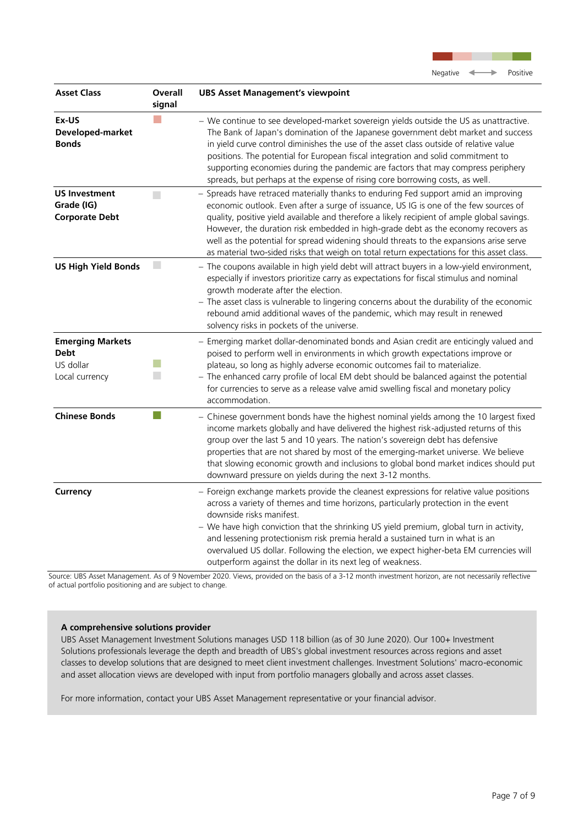

| <b>Asset Class</b>                                                    | Overall<br>signal | <b>UBS Asset Management's viewpoint</b>                                                                                                                                                                                                                                                                                                                                                                                                                                                                                                                |
|-----------------------------------------------------------------------|-------------------|--------------------------------------------------------------------------------------------------------------------------------------------------------------------------------------------------------------------------------------------------------------------------------------------------------------------------------------------------------------------------------------------------------------------------------------------------------------------------------------------------------------------------------------------------------|
| Ex-US<br>Developed-market<br><b>Bonds</b>                             |                   | - We continue to see developed-market sovereign yields outside the US as unattractive.<br>The Bank of Japan's domination of the Japanese government debt market and success<br>in yield curve control diminishes the use of the asset class outside of relative value<br>positions. The potential for European fiscal integration and solid commitment to<br>supporting economies during the pandemic are factors that may compress periphery<br>spreads, but perhaps at the expense of rising core borrowing costs, as well.                          |
| <b>US Investment</b><br>Grade (IG)<br><b>Corporate Debt</b>           | $\Box$            | - Spreads have retraced materially thanks to enduring Fed support amid an improving<br>economic outlook. Even after a surge of issuance, US IG is one of the few sources of<br>quality, positive yield available and therefore a likely recipient of ample global savings.<br>However, the duration risk embedded in high-grade debt as the economy recovers as<br>well as the potential for spread widening should threats to the expansions arise serve<br>as material two-sided risks that weigh on total return expectations for this asset class. |
| <b>US High Yield Bonds</b>                                            | $\Box$            | - The coupons available in high yield debt will attract buyers in a low-yield environment,<br>especially if investors prioritize carry as expectations for fiscal stimulus and nominal<br>growth moderate after the election.<br>- The asset class is vulnerable to lingering concerns about the durability of the economic<br>rebound amid additional waves of the pandemic, which may result in renewed<br>solvency risks in pockets of the universe.                                                                                                |
| <b>Emerging Markets</b><br><b>Debt</b><br>US dollar<br>Local currency |                   | - Emerging market dollar-denominated bonds and Asian credit are enticingly valued and<br>poised to perform well in environments in which growth expectations improve or<br>plateau, so long as highly adverse economic outcomes fail to materialize.<br>- The enhanced carry profile of local EM debt should be balanced against the potential<br>for currencies to serve as a release valve amid swelling fiscal and monetary policy<br>accommodation.                                                                                                |
| <b>Chinese Bonds</b>                                                  |                   | - Chinese government bonds have the highest nominal yields among the 10 largest fixed<br>income markets globally and have delivered the highest risk-adjusted returns of this<br>group over the last 5 and 10 years. The nation's sovereign debt has defensive<br>properties that are not shared by most of the emerging-market universe. We believe<br>that slowing economic growth and inclusions to global bond market indices should put<br>downward pressure on yields during the next 3-12 months.                                               |
| Currency                                                              |                   | - Foreign exchange markets provide the cleanest expressions for relative value positions<br>across a variety of themes and time horizons, particularly protection in the event<br>downside risks manifest.<br>- We have high conviction that the shrinking US yield premium, global turn in activity,<br>and lessening protectionism risk premia herald a sustained turn in what is an<br>overvalued US dollar. Following the election, we expect higher-beta EM currencies will<br>outperform against the dollar in its next leg of weakness.         |

Source: UBS Asset Management. As of 9 November 2020. Views, provided on the basis of a 3-12 month investment horizon, are not necessarily reflective of actual portfolio positioning and are subject to change.

# **A comprehensive solutions provider**

UBS Asset Management Investment Solutions manages USD 118 billion (as of 30 June 2020). Our 100+ Investment Solutions professionals leverage the depth and breadth of UBS's global investment resources across regions and asset classes to develop solutions that are designed to meet client investment challenges. Investment Solutions' macro-economic and asset allocation views are developed with input from portfolio managers globally and across asset classes.

For more information, contact your UBS Asset Management representative or your financial advisor.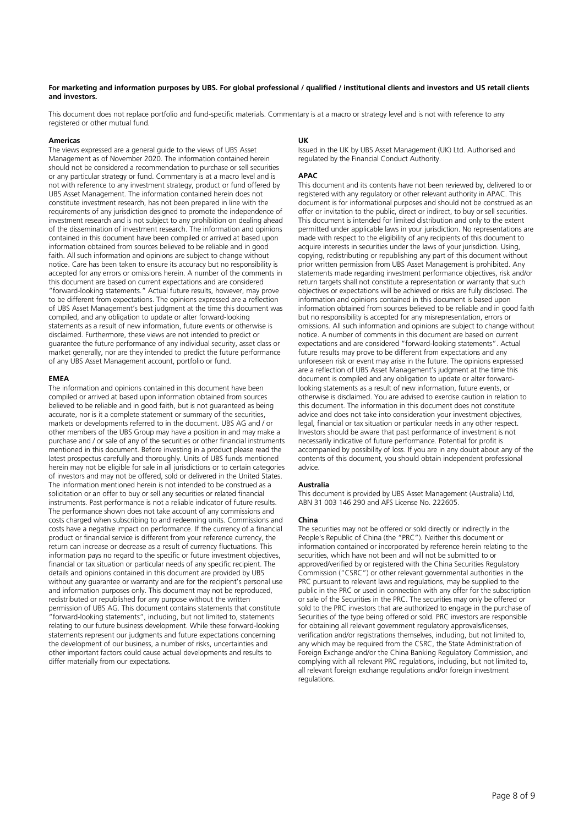#### **For marketing and information purposes by UBS. For global professional / qualified / institutional clients and investors and US retail clients and investors.**

This document does not replace portfolio and fund-specific materials. Commentary is at a macro or strategy level and is not with reference to any registered or other mutual fund.

#### **Americas**

The views expressed are a general guide to the views of UBS Asset Management as of November 2020. The information contained herein should not be considered a recommendation to purchase or sell securities or any particular strategy or fund. Commentary is at a macro level and is not with reference to any investment strategy, product or fund offered by UBS Asset Management. The information contained herein does not constitute investment research, has not been prepared in line with the requirements of any jurisdiction designed to promote the independence of investment research and is not subject to any prohibition on dealing ahead of the dissemination of investment research. The information and opinions contained in this document have been compiled or arrived at based upon information obtained from sources believed to be reliable and in good faith. All such information and opinions are subject to change without notice. Care has been taken to ensure its accuracy but no responsibility is accepted for any errors or omissions herein. A number of the comments in this document are based on current expectations and are considered "forward-looking statements." Actual future results, however, may prove to be different from expectations. The opinions expressed are a reflection of UBS Asset Management's best judgment at the time this document was compiled, and any obligation to update or alter forward-looking statements as a result of new information, future events or otherwise is disclaimed. Furthermore, these views are not intended to predict or guarantee the future performance of any individual security, asset class or market generally, nor are they intended to predict the future performance of any UBS Asset Management account, portfolio or fund.

#### **EMEA**

The information and opinions contained in this document have been compiled or arrived at based upon information obtained from sources believed to be reliable and in good faith, but is not guaranteed as being accurate, nor is it a complete statement or summary of the securities, markets or developments referred to in the document. UBS AG and / or other members of the UBS Group may have a position in and may make a purchase and / or sale of any of the securities or other financial instruments mentioned in this document. Before investing in a product please read the latest prospectus carefully and thoroughly. Units of UBS funds mentioned herein may not be eligible for sale in all jurisdictions or to certain categories of investors and may not be offered, sold or delivered in the United States. The information mentioned herein is not intended to be construed as a solicitation or an offer to buy or sell any securities or related financial instruments. Past performance is not a reliable indicator of future results. The performance shown does not take account of any commissions and costs charged when subscribing to and redeeming units. Commissions and costs have a negative impact on performance. If the currency of a financial product or financial service is different from your reference currency, the return can increase or decrease as a result of currency fluctuations. This information pays no regard to the specific or future investment objectives, financial or tax situation or particular needs of any specific recipient. The details and opinions contained in this document are provided by UBS without any guarantee or warranty and are for the recipient's personal use and information purposes only. This document may not be reproduced, redistributed or republished for any purpose without the written permission of UBS AG. This document contains statements that constitute "forward-looking statements", including, but not limited to, statements relating to our future business development. While these forward-looking statements represent our judgments and future expectations concerning the development of our business, a number of risks, uncertainties and other important factors could cause actual developments and results to differ materially from our expectations.

#### **UK**

Issued in the UK by UBS Asset Management (UK) Ltd. Authorised and regulated by the Financial Conduct Authority.

#### **APAC**

This document and its contents have not been reviewed by, delivered to or registered with any regulatory or other relevant authority in APAC. This document is for informational purposes and should not be construed as an offer or invitation to the public, direct or indirect, to buy or sell securities. This document is intended for limited distribution and only to the extent permitted under applicable laws in your jurisdiction. No representations are made with respect to the eligibility of any recipients of this document to acquire interests in securities under the laws of your jurisdiction. Using, copying, redistributing or republishing any part of this document without prior written permission from UBS Asset Management is prohibited. Any statements made regarding investment performance objectives, risk and/or return targets shall not constitute a representation or warranty that such objectives or expectations will be achieved or risks are fully disclosed. The information and opinions contained in this document is based upon information obtained from sources believed to be reliable and in good faith but no responsibility is accepted for any misrepresentation, errors or omissions. All such information and opinions are subject to change without notice. A number of comments in this document are based on current expectations and are considered "forward-looking statements". Actual future results may prove to be different from expectations and any unforeseen risk or event may arise in the future. The opinions expressed are a reflection of UBS Asset Management's judgment at the time this document is compiled and any obligation to update or alter forwardlooking statements as a result of new information, future events, or otherwise is disclaimed. You are advised to exercise caution in relation to this document. The information in this document does not constitute advice and does not take into consideration your investment objectives, legal, financial or tax situation or particular needs in any other respect. Investors should be aware that past performance of investment is not necessarily indicative of future performance. Potential for profit is accompanied by possibility of loss. If you are in any doubt about any of the contents of this document, you should obtain independent professional advice.

#### **Australia**

This document is provided by UBS Asset Management (Australia) Ltd, ABN 31 003 146 290 and AFS License No. 222605.

#### **China**

The securities may not be offered or sold directly or indirectly in the People's Republic of China (the "PRC"). Neither this document or information contained or incorporated by reference herein relating to the securities, which have not been and will not be submitted to or approved/verified by or registered with the China Securities Regulatory Commission ("CSRC") or other relevant governmental authorities in the PRC pursuant to relevant laws and regulations, may be supplied to the public in the PRC or used in connection with any offer for the subscription or sale of the Securities in the PRC. The securities may only be offered or sold to the PRC investors that are authorized to engage in the purchase of Securities of the type being offered or sold. PRC investors are responsible for obtaining all relevant government regulatory approvals/licenses, verification and/or registrations themselves, including, but not limited to, any which may be required from the CSRC, the State Administration of Foreign Exchange and/or the China Banking Regulatory Commission, and complying with all relevant PRC regulations, including, but not limited to, all relevant foreign exchange regulations and/or foreign investment regulations.